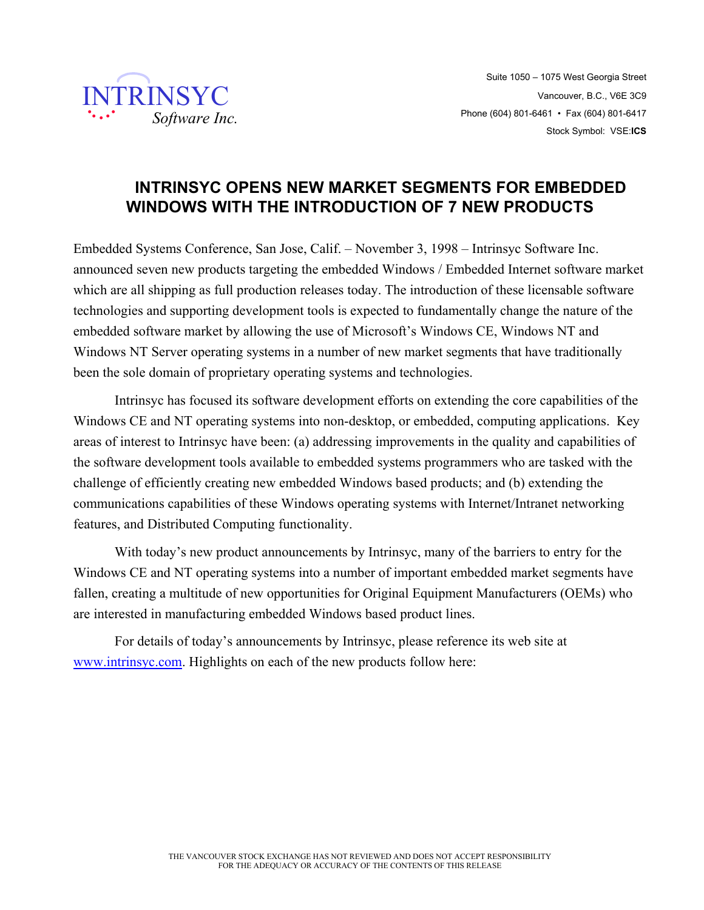

# **INTRINSYC OPENS NEW MARKET SEGMENTS FOR EMBEDDED WINDOWS WITH THE INTRODUCTION OF 7 NEW PRODUCTS**

Embedded Systems Conference, San Jose, Calif. – November 3, 1998 – Intrinsyc Software Inc. announced seven new products targeting the embedded Windows / Embedded Internet software market which are all shipping as full production releases today. The introduction of these licensable software technologies and supporting development tools is expected to fundamentally change the nature of the embedded software market by allowing the use of Microsoft's Windows CE, Windows NT and Windows NT Server operating systems in a number of new market segments that have traditionally been the sole domain of proprietary operating systems and technologies.

Intrinsyc has focused its software development efforts on extending the core capabilities of the Windows CE and NT operating systems into non-desktop, or embedded, computing applications. Key areas of interest to Intrinsyc have been: (a) addressing improvements in the quality and capabilities of the software development tools available to embedded systems programmers who are tasked with the challenge of efficiently creating new embedded Windows based products; and (b) extending the communications capabilities of these Windows operating systems with Internet/Intranet networking features, and Distributed Computing functionality.

With today's new product announcements by Intrinsyc, many of the barriers to entry for the Windows CE and NT operating systems into a number of important embedded market segments have fallen, creating a multitude of new opportunities for Original Equipment Manufacturers (OEMs) who are interested in manufacturing embedded Windows based product lines.

For details of today's announcements by Intrinsyc, please reference its web site at www.intrinsyc.com. Highlights on each of the new products follow here: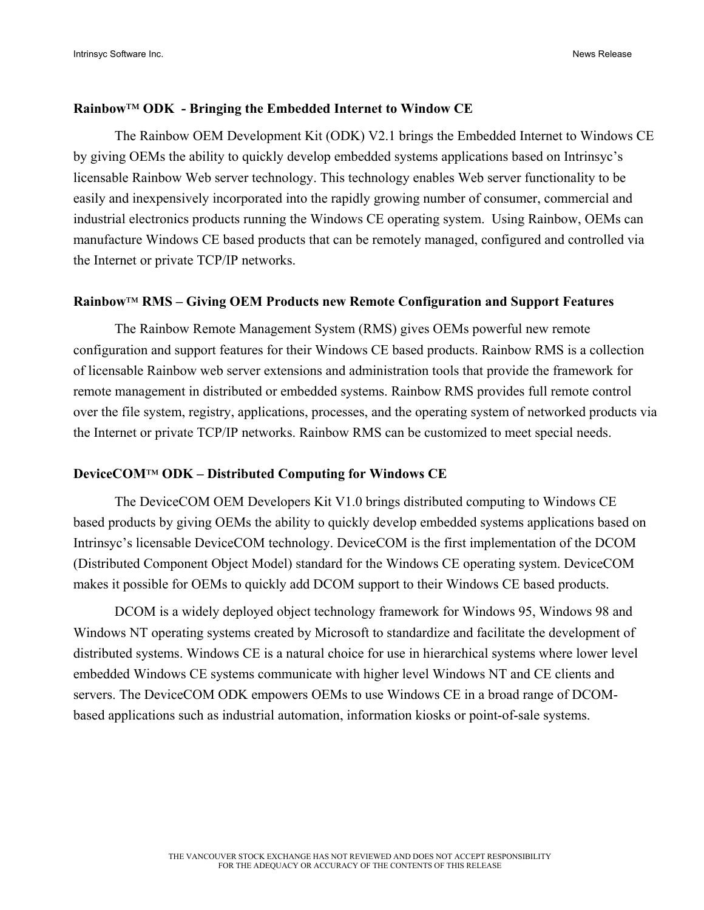## **Rainbow**™ **ODK - Bringing the Embedded Internet to Window CE**

The Rainbow OEM Development Kit (ODK) V2.1 brings the Embedded Internet to Windows CE by giving OEMs the ability to quickly develop embedded systems applications based on Intrinsyc's licensable Rainbow Web server technology. This technology enables Web server functionality to be easily and inexpensively incorporated into the rapidly growing number of consumer, commercial and industrial electronics products running the Windows CE operating system. Using Rainbow, OEMs can manufacture Windows CE based products that can be remotely managed, configured and controlled via the Internet or private TCP/IP networks.

## **Rainbow**™ **RMS – Giving OEM Products new Remote Configuration and Support Features**

The Rainbow Remote Management System (RMS) gives OEMs powerful new remote configuration and support features for their Windows CE based products. Rainbow RMS is a collection of licensable Rainbow web server extensions and administration tools that provide the framework for remote management in distributed or embedded systems. Rainbow RMS provides full remote control over the file system, registry, applications, processes, and the operating system of networked products via the Internet or private TCP/IP networks. Rainbow RMS can be customized to meet special needs.

## **DeviceCOM**™ **ODK – Distributed Computing for Windows CE**

The DeviceCOM OEM Developers Kit V1.0 brings distributed computing to Windows CE based products by giving OEMs the ability to quickly develop embedded systems applications based on Intrinsyc's licensable DeviceCOM technology. DeviceCOM is the first implementation of the DCOM (Distributed Component Object Model) standard for the Windows CE operating system. DeviceCOM makes it possible for OEMs to quickly add DCOM support to their Windows CE based products.

DCOM is a widely deployed object technology framework for Windows 95, Windows 98 and Windows NT operating systems created by Microsoft to standardize and facilitate the development of distributed systems. Windows CE is a natural choice for use in hierarchical systems where lower level embedded Windows CE systems communicate with higher level Windows NT and CE clients and servers. The DeviceCOM ODK empowers OEMs to use Windows CE in a broad range of DCOMbased applications such as industrial automation, information kiosks or point-of-sale systems.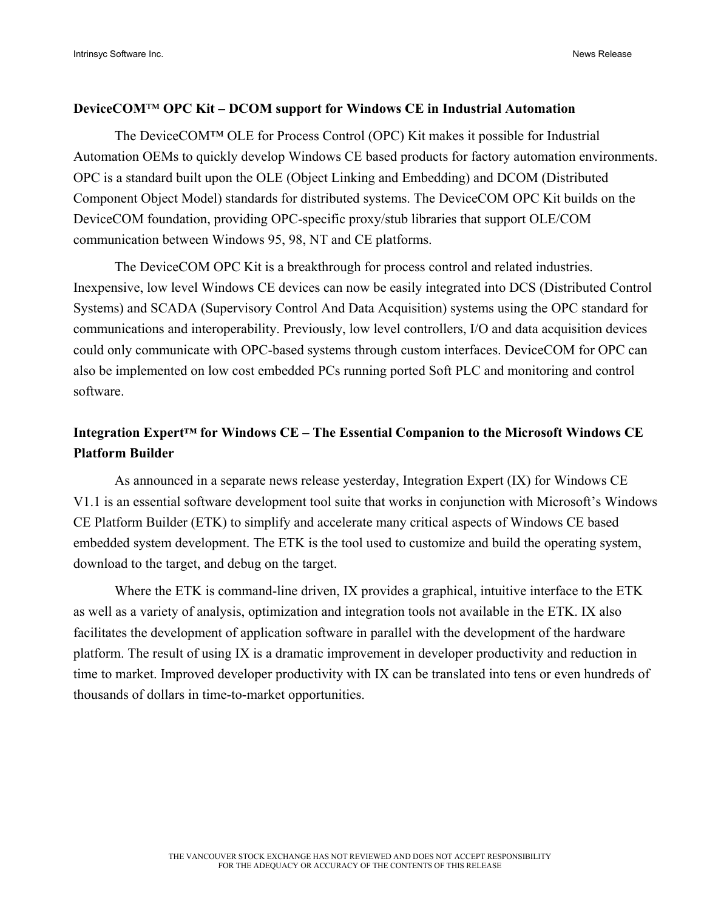## **DeviceCOM**™ **OPC Kit – DCOM support for Windows CE in Industrial Automation**

The DeviceCOM™ OLE for Process Control (OPC) Kit makes it possible for Industrial Automation OEMs to quickly develop Windows CE based products for factory automation environments. OPC is a standard built upon the OLE (Object Linking and Embedding) and DCOM (Distributed Component Object Model) standards for distributed systems. The DeviceCOM OPC Kit builds on the DeviceCOM foundation, providing OPC-specific proxy/stub libraries that support OLE/COM communication between Windows 95, 98, NT and CE platforms.

The DeviceCOM OPC Kit is a breakthrough for process control and related industries. Inexpensive, low level Windows CE devices can now be easily integrated into DCS (Distributed Control Systems) and SCADA (Supervisory Control And Data Acquisition) systems using the OPC standard for communications and interoperability. Previously, low level controllers, I/O and data acquisition devices could only communicate with OPC-based systems through custom interfaces. DeviceCOM for OPC can also be implemented on low cost embedded PCs running ported Soft PLC and monitoring and control software.

## **Integration Expert™ for Windows CE – The Essential Companion to the Microsoft Windows CE Platform Builder**

As announced in a separate news release yesterday, Integration Expert (IX) for Windows CE V1.1 is an essential software development tool suite that works in conjunction with Microsoft's Windows CE Platform Builder (ETK) to simplify and accelerate many critical aspects of Windows CE based embedded system development. The ETK is the tool used to customize and build the operating system, download to the target, and debug on the target.

Where the ETK is command-line driven, IX provides a graphical, intuitive interface to the ETK as well as a variety of analysis, optimization and integration tools not available in the ETK. IX also facilitates the development of application software in parallel with the development of the hardware platform. The result of using IX is a dramatic improvement in developer productivity and reduction in time to market. Improved developer productivity with IX can be translated into tens or even hundreds of thousands of dollars in time-to-market opportunities.